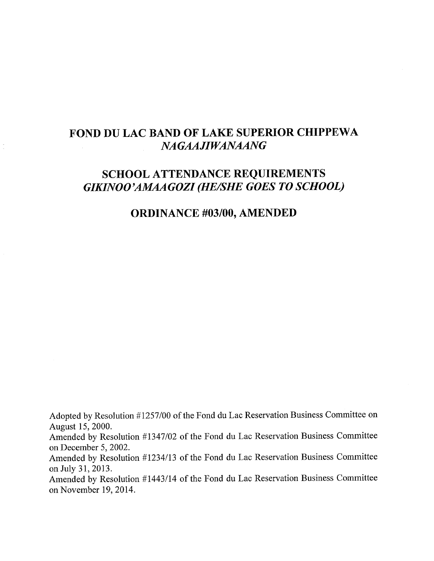# **FOND DU LAC BAND OF LAKE SUPERIOR CHIPPEWA** *NAGAAJIWANAANG*

# **SCHOOL ATTENDANCE REQUIREMENTS** GIKINOO'AMAAGOZI (HE/SHE GOES TO SCHOOL)

# **ORDINANCE #03/00, AMENDED**

Adopted by Resolution #1257/00 of the Fond du Lac Reservation Business Committee on August 15, 2000.

Amended by Resolution #1347/02 of the Fond du Lac Reservation Business Committee on December 5, 2002.

Amended by Resolution #1234/13 of the Fond du Lac Reservation Business Committee on July 31, 2013.

Amended by Resolution #1443/14 of the Fond du Lac Reservation Business Committee on November 19, 2014.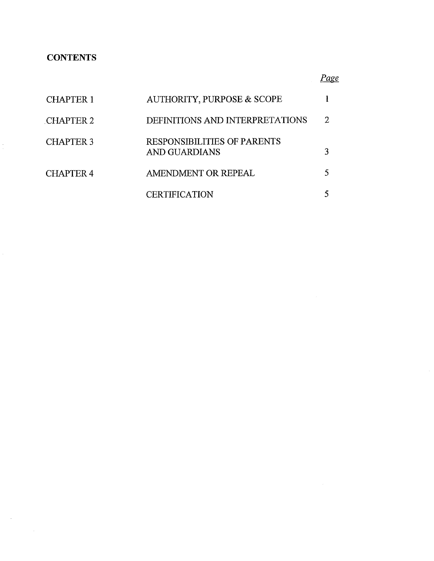## **CONTENTS**

 $\frac{1}{2}$ 

 $\sim 10^{-11}$ 

 $\mathcal{A}^{\mathcal{A}}$ 

*Page*

| <b>CHAPTER 1</b> | AUTHORITY, PURPOSE & SCOPE                   |  |
|------------------|----------------------------------------------|--|
| <b>CHAPTER 2</b> | DEFINITIONS AND INTERPRETATIONS              |  |
| <b>CHAPTER 3</b> | RESPONSIBILITIES OF PARENTS<br>AND GUARDIANS |  |
| <b>CHAPTER 4</b> | AMENDMENT OR REPEAL                          |  |
|                  | <b>CERTIFICATION</b>                         |  |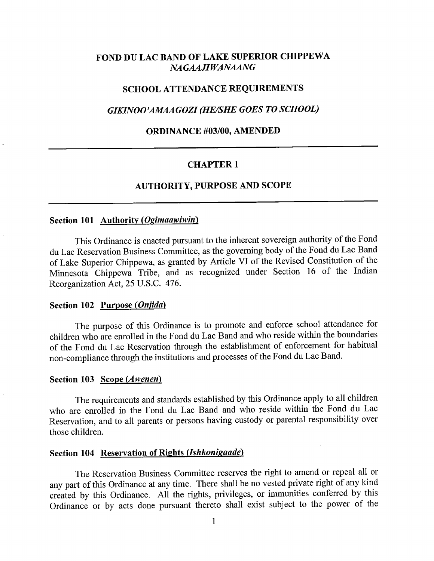## **FOND DU LAC BAND OF LAKE SUPERIOR CHIPPEWA** *NAGAAHWANAANG*

#### **SCHOOL ATTENDANCE REQUIREMENTS**

## *GIKINOO'AMAAGOZI (HE/SHE GOES TO SCHOOL)*

#### **ORDINANCE #03/00, AMENDED**

#### **CHAPTER 1**

#### **AUTHORITY, PURPOSE AND SCOPE**

## **Section 101 Authority (Ogimaawiwin)**

This Ordinance is enacted pursuant to the inherent sovereign authority of the Fond du Lac Reservation Business Committee, as the governing body of the Fond du Lac Band of Lake Superior Chippewa, as granted by Article VI of the Revised Constitution of the Minnesota Chippewa Tribe, and as recognized under Section 16 of the Indian Reorganization Act, 25 U.S.C. 476.

#### **Section 102 Purpose** *(Onfida)*

The purpose of this Ordinance is to promote and enforce school attendance for children who are enrolled in the Fond du Lac Band and who reside within the boundaries of the Fond du Lac Reservation through the establishment of enforcement for habitual non-compliance through the institutions and processes of the Fond du Lac Band.

#### **Section 103 Scope** *(Awenen)*

The requirements and standards established by this Ordinance apply to all children who are enrolled in the Fond du Lac Band and who reside within the Fond du Lac Reservation, and to all parents or persons having custody or parental responsibility over those children.

## **Section 104 Reservation of Rights (Ishkonigaade)**

The Reservation Business Committee reserves the right to amend or repeal all or any part of this Ordinance at any time. There shall be no vested private right of any kind created by this Ordinance. All the rights, privileges, or immunities conferred by this Ordinance or by acts done pursuant thereto shall exist subject to the power of the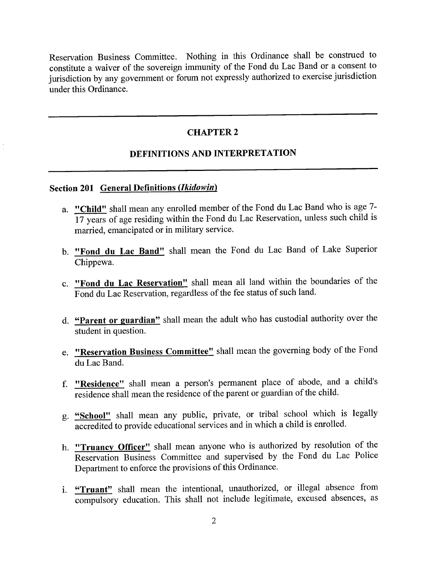Reservation Business Committee. Nothing in this Ordinance shall be construed to constitute a waiver of the sovereign immunity of the Fond du Lac Band or a consent to jurisdiction by any government or forum not expressly authorized to exercise jurisdiction under this Ordinance.

## **CHAPTER** 2

## **DEFINITIONS AND INTERPRETATION**

#### **Section 201 General Definitions** *(lkidowin)*

- **a. "Child"** shall mean any enrolled member of the Fond du Lac Band who is age 7- 17 years of age residing within the Fond du Lac Reservation, unless such child is married, emancipated or in military service.
- **b. "Fond du Lac Band"** shall mean the Fond du Lac Band of Lake Superior Chippewa.
- **c. "Fond du Lac Reservation"** shall mean all land within the boundaries of the Fond du Lac Reservation, regardless of the fee status of such land.
- **d. "Parent or guardian"** shall mean the adult who has custodial authority over the student in question.
- **e. "Reservation Business Committee"** shall mean the governing body of the Fond du Lac Band.
- **f. "Residence"** shall mean a person's permanent place of abode, and a child's residence shall mean the residence of the parent or guardian of the child.
- **g. "School"** shall mean any public, private, or tribal school which is legally accredited to provide educational services and in which a child is enrolled.
- **h. "Truancy Officer"** shall mean anyone who is authorized by resolution of the Reservation Business Committee and supervised by the Fond du Lac Police Department to enforce the provisions of this Ordinance.
- **i. "Truant"** shall mean the intentional, unauthorized, or illegal absence from compulsory education. This shall not include legitimate, excused absences, as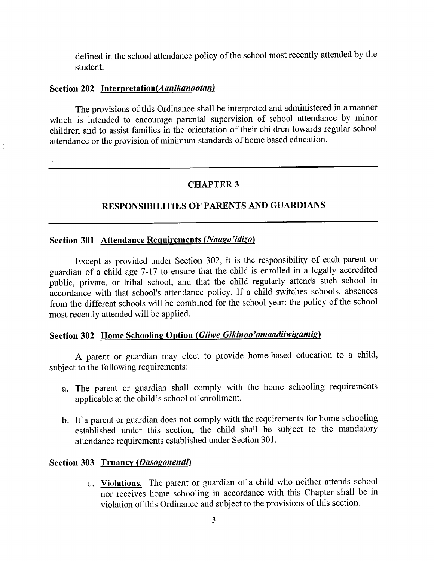defined in the school attendance policy of the school most recently attended by the student.

## **Section 202 Interpretation(Aanikanootan)**

The provisions of this Ordinance shall be interpreted and administered in a manner which is intended to encourage parental supervision of school attendance by minor children and to assist families in the orientation of their children towards regular school attendance or the provision of minimum standards of home based education.

## **CHAPTER 3**

## **RESPONSIBILITIES OF PARENTS AND GUARDIANS**

## **Section 301 Attendance Requirements** *(Naago'idizo)*

Except as provided under Section 302, it is the responsibility of each parent or guardian of a child age 7-17 to ensure that the child is enrolled in a legally accredited public, private, or tribal school, and that the child regularly attends such school in accordance with that school's attendance policy. If a child switches schools, absences from the different schools will be combined for the school year; the policy of the school most recently attended will be applied.

## **Section 302 Home Schooling Option** *(Giiwe Gikinoo'amaadiiwigamig)*

A parent or guardian may elect to provide home-based education to a child, subject to the following requirements:

- a. The parent or guardian shall comply with the home schooling requirements applicable at the child's school of enrollment.
- b. If a parent or guardian does not comply with the requirements for home schooling established under this section, the child shall be subject to the mandatory attendance requirements established under Section 301.

## **Section 303 Truancy** *(Dasogonendi)*

a. **Violations.** The parent or guardian of a child who neither attends school nor receives home schooling in accordance with this Chapter shall be in violation of this Ordinance and subject to the provisions of this section.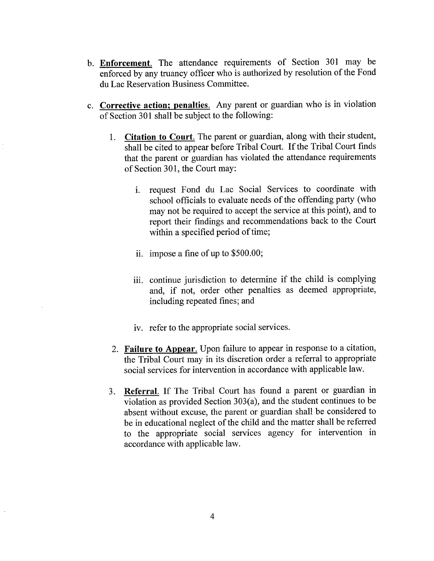- **b. Enforcement.** The attendance requirements of Section 301 may be enforced by any truancy officer who is authorized by resolution of the Fond du Lac Reservation Business Committee.
- **c. Corrective action; penalties.** Any parent or guardian who is in violation of Section 301 shall be subject to the following:
	- 1. **Citation to Court.** The parent or guardian, along with their student, shall be cited to appear before Tribal Court. If the Tribal Court finds that the parent or guardian has violated the attendance requirements of Section 301, the Court may:
		- i. request Fond du Lac Social Services to coordinate with school officials to evaluate needs of the offending party (who may not be required to accept the service at this point), and to report their findings and recommendations back to the Court within a specified period of time;
		- ii. impose a fine of up to \$500.00;
		- iii. continue jurisdiction to determine if the child is complying and, if not, order other penalties as deemed appropriate, including repeated fines; and
		- iv. refer to the appropriate social services.
	- 2. **Failure to Appear.** Upon failure to appear in response to a citation, the Tribal Court may in its discretion order a referral to appropriate social services for intervention in accordance with applicable law.
	- 3. **Referral.** If The Tribal Court has found a parent or guardian in violation as provided Section 303(a), and the student continues to be absent without excuse, the parent or guardian shall be considered to be in educational neglect of the child and the matter shall be referred to the appropriate social services agency for intervention in accordance with applicable law.